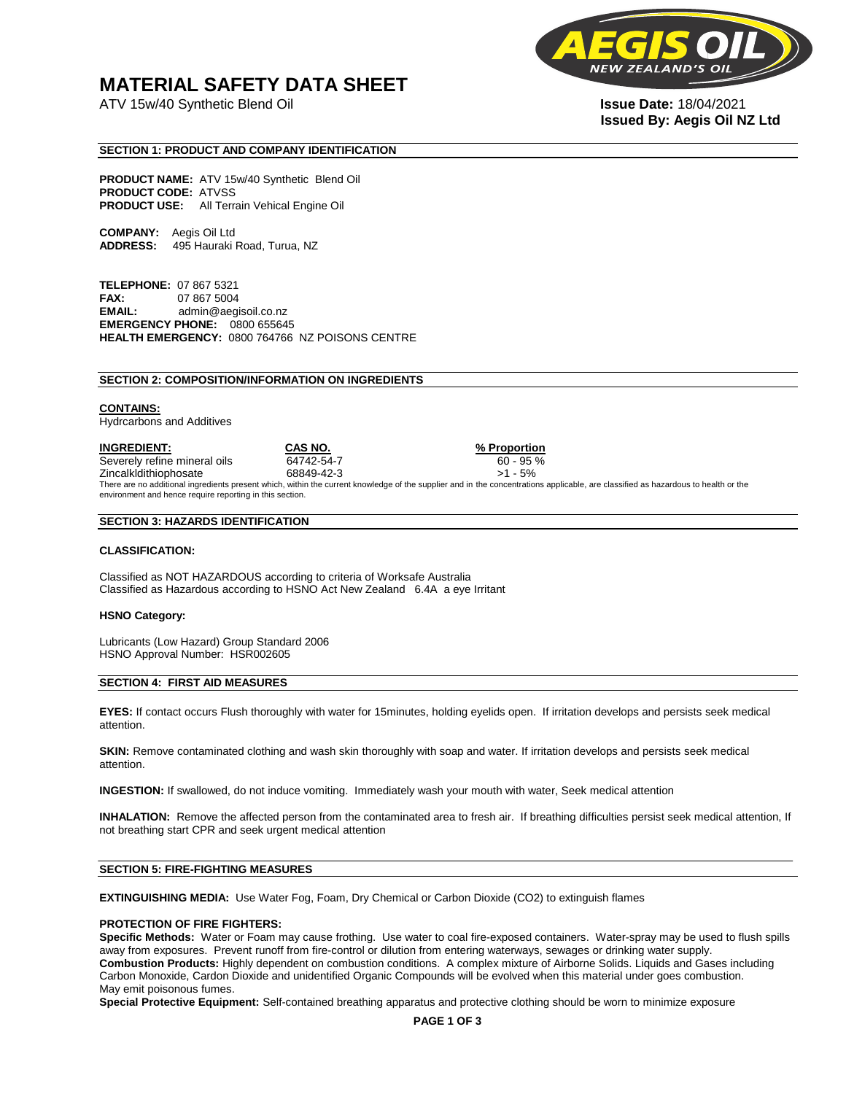# **MATERIAL SAFETY DATA SHEET**

ATV 15w/40 Synthetic Blend Oil **Issue Date:** 18/04/2021



# **Issued By: Aegis Oil NZ Ltd**

#### **SECTION 1: PRODUCT AND COMPANY IDENTIFICATION**

**PRODUCT NAME:** ATV 15w/40 Synthetic Blend Oil **PRODUCT CODE:** ATVSS **PRODUCT USE:** All Terrain Vehical Engine Oil

**COMPANY:** Aegis Oil Ltd **ADDRESS:** 495 Hauraki Road, Turua, NZ

**TELEPHONE:** 07 867 5321 **FAX:** 07 867 5004 **EMAIL:** admin@aegisoil.co.nz **EMERGENCY PHONE:** 0800 655645 **HEALTH EMERGENCY:** 0800 764766 NZ POISONS CENTRE

#### **SECTION 2: COMPOSITION/INFORMATION ON INGREDIENTS**

#### **CONTAINS:**

Hydrcarbons and Additives

**INGREDIENT: CAS NO. % Proportion**  Severely refine mineral oils 64742-54-7 60 - 95 % Zincalkldithiophosate 68849-42-3 >1 - 5% There are no additional ingredients present which, within the current knowledge of the supplier and in the concentrations applicable, are classified as hazardous to health or the environment and hence require reporting in this section.

#### **SECTION 3: HAZARDS IDENTIFICATION**

#### **CLASSIFICATION:**

Classified as NOT HAZARDOUS according to criteria of Worksafe Australia Classified as Hazardous according to HSNO Act New Zealand 6.4A a eye Irritant

#### **HSNO Category:**

Lubricants (Low Hazard) Group Standard 2006 HSNO Approval Number: HSR002605

#### **SECTION 4: FIRST AID MEASURES**

**EYES:** If contact occurs Flush thoroughly with water for 15minutes, holding eyelids open. If irritation develops and persists seek medical attention.

**SKIN:** Remove contaminated clothing and wash skin thoroughly with soap and water. If irritation develops and persists seek medical attention.

**INGESTION:** If swallowed, do not induce vomiting. Immediately wash your mouth with water, Seek medical attention

**INHALATION:** Remove the affected person from the contaminated area to fresh air. If breathing difficulties persist seek medical attention, If not breathing start CPR and seek urgent medical attention

#### **SECTION 5: FIRE-FIGHTING MEASURES**

**EXTINGUISHING MEDIA:** Use Water Fog, Foam, Dry Chemical or Carbon Dioxide (CO2) to extinguish flames

#### **PROTECTION OF FIRE FIGHTERS:**

**Specific Methods:** Water or Foam may cause frothing. Use water to coal fire-exposed containers. Water-spray may be used to flush spills away from exposures. Prevent runoff from fire-control or dilution from entering waterways, sewages or drinking water supply. **Combustion Products:** Highly dependent on combustion conditions. A complex mixture of Airborne Solids. Liquids and Gases including Carbon Monoxide, Cardon Dioxide and unidentified Organic Compounds will be evolved when this material under goes combustion. May emit poisonous fumes.

**Special Protective Equipment:** Self-contained breathing apparatus and protective clothing should be worn to minimize exposure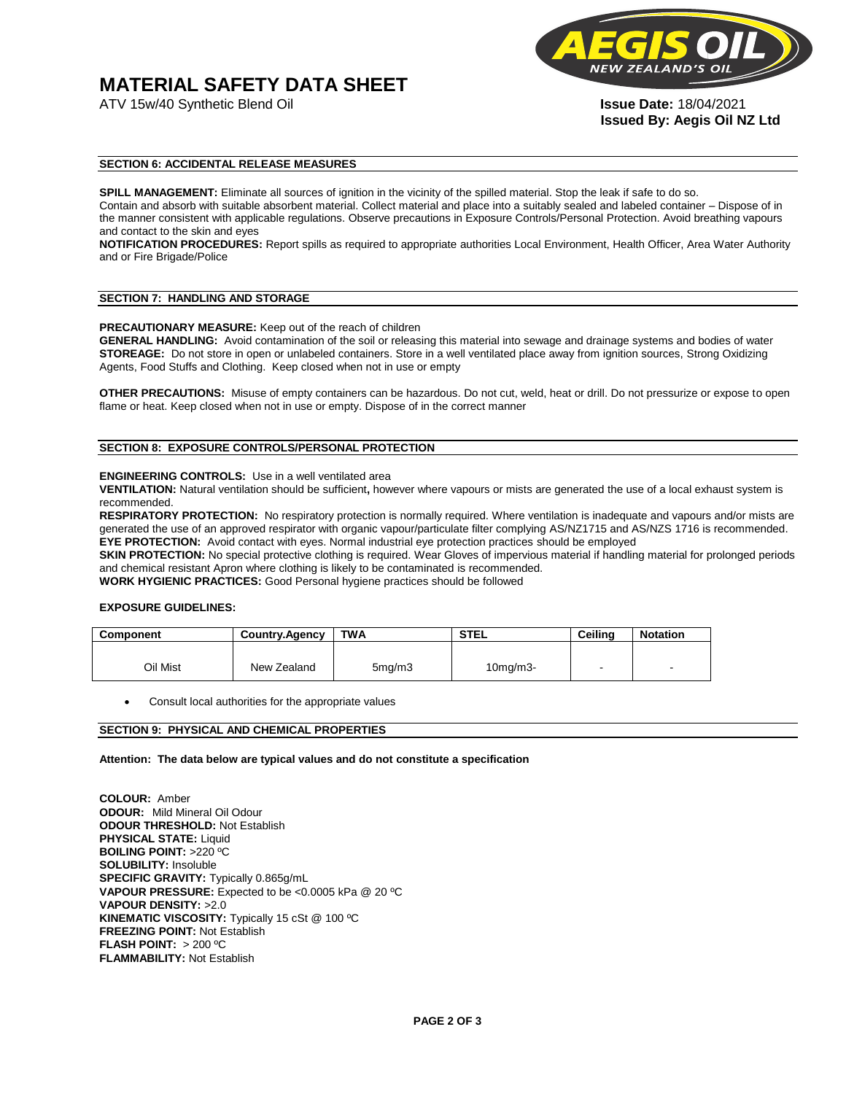# **MATERIAL SAFETY DATA SHEET**

ATV 15w/40 Synthetic Blend Oil **Issue Date:** 18/04/2021



**Issued By: Aegis Oil NZ Ltd** 

#### **SECTION 6: ACCIDENTAL RELEASE MEASURES**

**SPILL MANAGEMENT:** Eliminate all sources of ignition in the vicinity of the spilled material. Stop the leak if safe to do so. Contain and absorb with suitable absorbent material. Collect material and place into a suitably sealed and labeled container – Dispose of in the manner consistent with applicable regulations. Observe precautions in Exposure Controls/Personal Protection. Avoid breathing vapours and contact to the skin and eyes

**NOTIFICATION PROCEDURES:** Report spills as required to appropriate authorities Local Environment, Health Officer, Area Water Authority and or Fire Brigade/Police

#### **SECTION 7: HANDLING AND STORAGE**

**PRECAUTIONARY MEASURE:** Keep out of the reach of children

**GENERAL HANDLING:** Avoid contamination of the soil or releasing this material into sewage and drainage systems and bodies of water **STOREAGE:** Do not store in open or unlabeled containers. Store in a well ventilated place away from ignition sources, Strong Oxidizing Agents, Food Stuffs and Clothing. Keep closed when not in use or empty

**OTHER PRECAUTIONS:** Misuse of empty containers can be hazardous. Do not cut, weld, heat or drill. Do not pressurize or expose to open flame or heat. Keep closed when not in use or empty. Dispose of in the correct manner

### **SECTION 8: EXPOSURE CONTROLS/PERSONAL PROTECTION**

#### **ENGINEERING CONTROLS:** Use in a well ventilated area

**VENTILATION:** Natural ventilation should be sufficient**,** however where vapours or mists are generated the use of a local exhaust system is recommended.

**RESPIRATORY PROTECTION:** No respiratory protection is normally required. Where ventilation is inadequate and vapours and/or mists are generated the use of an approved respirator with organic vapour/particulate filter complying AS/NZ1715 and AS/NZS 1716 is recommended. **EYE PROTECTION:** Avoid contact with eyes. Normal industrial eye protection practices should be employed

**SKIN PROTECTION:** No special protective clothing is required. Wear Gloves of impervious material if handling material for prolonged periods and chemical resistant Apron where clothing is likely to be contaminated is recommended.

**WORK HYGIENIC PRACTICES:** Good Personal hygiene practices should be followed

#### **EXPOSURE GUIDELINES:**

| <b>Component</b> | <b>Country.Agency</b> | <b>TWA</b>          | <b>STEL</b>    | Ceilina | <b>Notation</b>          |
|------------------|-----------------------|---------------------|----------------|---------|--------------------------|
|                  |                       |                     |                |         |                          |
| Oil Mist         | New Zealand           | 5 <sub>mq</sub> /m3 | $10$ mg/m $3-$ |         | $\overline{\phantom{a}}$ |

Consult local authorities for the appropriate values

#### **SECTION 9: PHYSICAL AND CHEMICAL PROPERTIES**

**Attention: The data below are typical values and do not constitute a specification** 

**COLOUR:** Amber **ODOUR:** Mild Mineral Oil Odour **ODOUR THRESHOLD:** Not Establish **PHYSICAL STATE:** Liquid **BOILING POINT:** >220 ºC **SOLUBILITY:** Insoluble **SPECIFIC GRAVITY:** Typically 0.865g/mL **VAPOUR PRESSURE:** Expected to be <0.0005 kPa @ 20 ºC **VAPOUR DENSITY:** >2.0 **KINEMATIC VISCOSITY:** Typically 15 cSt @ 100 ºC **FREEZING POINT: Not Establish FLASH POINT:** > 200 ºC **FLAMMABILITY:** Not Establish